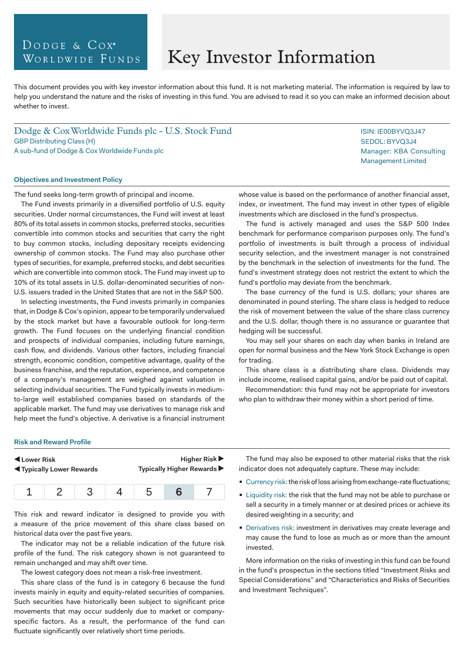# DODGE & COX<sup>®</sup> WORLDWIDE FUNDS

# Key Investor Information

This document provides you with key investor information about this fund. It is not marketing material. The information is required by law to help you understand the nature and the risks of investing in this fund. You are advised to read it so you can make an informed decision about whether to invest.

Dodge & Cox Worldwide Funds plc - U.S. Stock Fund GBP Distributing Class (H) A sub-fund of Dodge & Cox Worldwide Funds plc

#### **Objectives and Investment Policy**

The fund seeks long-term growth of principal and income.

The Fund invests primarily in a diversified portfolio of U.S. equity securities. Under normal circumstances, the Fund will invest at least 80% of its total assets in common stocks, preferred stocks, securities convertible into common stocks and securities that carry the right to buy common stocks, including depositary receipts evidencing ownership of common stocks. The Fund may also purchase other types of securities, for example, preferred stocks, and debt securities which are convertible into common stock. The Fund may invest up to 10% of its total assets in U.S. dollar-denominated securities of non-U.S. issuers traded in the United States that are not in the S&P 500.

In selecting investments, the Fund invests primarily in companies that, in Dodge & Cox's opinion, appear to be temporarily undervalued by the stock market but have a favourable outlook for long-term growth. The Fund focuses on the underlying financial condition and prospects of individual companies, including future earnings, cash flow, and dividends. Various other factors, including financial strength, economic condition, competitive advantage, quality of the business franchise, and the reputation, experience, and competence of a company's management are weighed against valuation in selecting individual securities. The Fund typically invests in mediumto-large well established companies based on standards of the applicable market. The fund may use derivatives to manage risk and help meet the fund's objective. A derivative is a financial instrument

whose value is based on the performance of another financial asset, index, or investment. The fund may invest in other types of eligible investments which are disclosed in the fund's prospectus.

The fund is actively managed and uses the S&P 500 Index benchmark for performance comparison purposes only. The fund's portfolio of investments is built through a process of individual security selection, and the investment manager is not constrained by the benchmark in the selection of investments for the fund. The fund's investment strategy does not restrict the extent to which the fund's portfolio may deviate from the benchmark.

The base currency of the fund is U.S. dollars; your shares are denominated in pound sterling. The share class is hedged to reduce the risk of movement between the value of the share class currency and the U.S. dollar, though there is no assurance or guarantee that hedging will be successful.

You may sell your shares on each day when banks in Ireland are open for normal business and the New York Stock Exchange is open for trading.

This share class is a distributing share class. Dividends may include income, realised capital gains, and/or be paid out of capital.

Recommendation: this fund may not be appropriate for investors who plan to withdraw their money within a short period of time.

#### **Risk and Reward Profile**

| Lower Risk                               |  |  |  | <b>Higher Risk</b> ▶       |  |  |
|------------------------------------------|--|--|--|----------------------------|--|--|
| <b>Example 3 Typically Lower Rewards</b> |  |  |  | Typically Higher Rewards ▶ |  |  |
|                                          |  |  |  | :5                         |  |  |

This risk and reward indicator is designed to provide you with a measure of the price movement of this share class based on historical data over the past five years.

The indicator may not be a reliable indication of the future risk profile of the fund. The risk category shown is not guaranteed to remain unchanged and may shift over time.

The lowest category does not mean a risk-free investment.

This share class of the fund is in category 6 because the fund invests mainly in equity and equity-related securities of companies. Such securities have historically been subject to significant price movements that may occur suddenly due to market or companyspecific factors. As a result, the performance of the fund can fluctuate significantly over relatively short time periods.

The fund may also be exposed to other material risks that the risk indicator does not adequately capture. These may include:

- Currency risk: the risk of loss arising from exchange-rate fluctuations;
- **Example 1** Liquidity risk: the risk that the fund may not be able to purchase or sell a security in a timely manner or at desired prices or achieve its desired weighting in a security; and
- **Derivatives risk: investment in derivatives may create leverage and** may cause the fund to lose as much as or more than the amount invested.

More information on the risks of investing in this fund can be found in the fund's prospectus in the sections titled "Investment Risks and Special Considerations" and "Characteristics and Risks of Securities and Investment Techniques".

ISIN: IE00BYVQ3J47 SEDOL: BYVQ3J4 Manager: KBA Consulting Management Limited